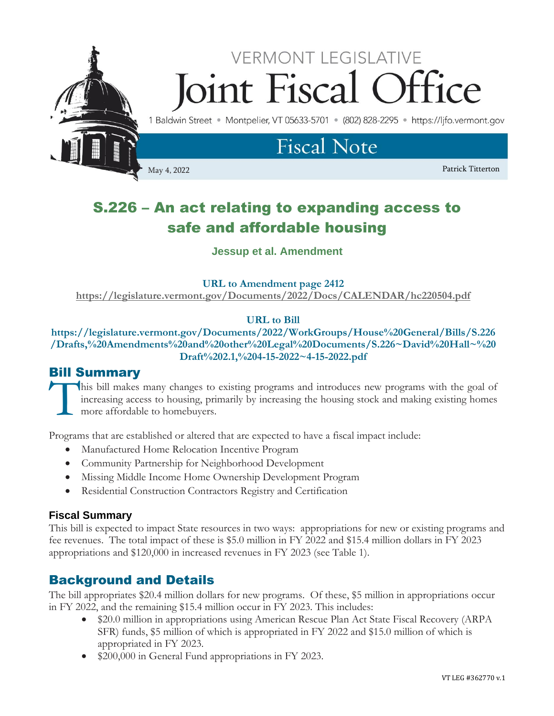

# S.226 – An act relating to expanding access to safe and affordable housing

**Jessup et al. Amendment**

### **URL to Amendment page 2412**

**<https://legislature.vermont.gov/Documents/2022/Docs/CALENDAR/hc220504.pdf>**

# **URL to Bill**

**https://legislature.vermont.gov/Documents/2022/WorkGroups/House%20General/Bills/S.226 /Drafts,%20Amendments%20and%20other%20Legal%20Documents/S.226~David%20Hall~%20 Draft%202.1,%204-15-2022~4-15-2022.pdf**

# Bill Summary

his bill makes many changes to existing programs and introduces new programs with the goal of increasing access to housing, primarily by increasing the housing stock and making existing homes more affordable to homebuyers. T<sup>"</sup>

Programs that are established or altered that are expected to have a fiscal impact include:

- Manufactured Home Relocation Incentive Program
- Community Partnership for Neighborhood Development
- Missing Middle Income Home Ownership Development Program
- Residential Construction Contractors Registry and Certification

# **Fiscal Summary**

This bill is expected to impact State resources in two ways: appropriations for new or existing programs and fee revenues. The total impact of these is \$5.0 million in FY 2022 and \$15.4 million dollars in FY 2023 appropriations and \$120,000 in increased revenues in FY 2023 (see Table 1).

# Background and Details

The bill appropriates \$20.4 million dollars for new programs. Of these, \$5 million in appropriations occur in FY 2022, and the remaining \$15.4 million occur in FY 2023. This includes:

- \$20.0 million in appropriations using American Rescue Plan Act State Fiscal Recovery (ARPA) SFR) funds, \$5 million of which is appropriated in FY 2022 and \$15.0 million of which is appropriated in FY 2023.
- \$200,000 in General Fund appropriations in FY 2023.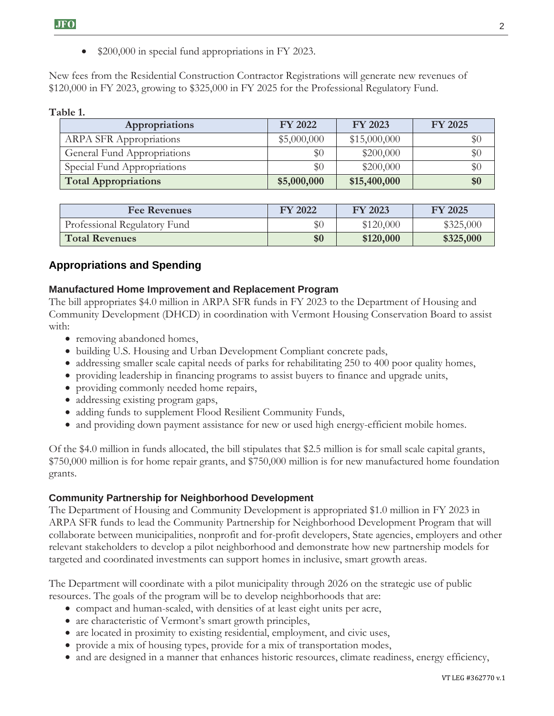• \$200,000 in special fund appropriations in FY 2023.

New fees from the Residential Construction Contractor Registrations will generate new revenues of \$120,000 in FY 2023, growing to \$325,000 in FY 2025 for the Professional Regulatory Fund.

#### **Table 1.**

| Appropriations                 | <b>FY 2022</b> | FY 2023      | <b>FY 2025</b> |
|--------------------------------|----------------|--------------|----------------|
| <b>ARPA SFR Appropriations</b> | \$5,000,000    | \$15,000,000 | $\$0$          |
| General Fund Appropriations    | $\$0$          | \$200,000    | $\$0$          |
| Special Fund Appropriations    | $\$0$          | \$200,000    | $\$0$          |
| <b>Total Appropriations</b>    | \$5,000,000    | \$15,400,000 | \$0            |

| <b>Fee Revenues</b>          | FY 2022 | FY 2023   | <b>FY 2025</b> |
|------------------------------|---------|-----------|----------------|
| Professional Regulatory Fund | $\$0$   | \$120,000 | \$325,000      |
| <b>Total Revenues</b>        | \$0     | \$120,000 | \$325,000      |

# **Appropriations and Spending**

#### **Manufactured Home Improvement and Replacement Program**

The bill appropriates \$4.0 million in ARPA SFR funds in FY 2023 to the Department of Housing and Community Development (DHCD) in coordination with Vermont Housing Conservation Board to assist with:

- removing abandoned homes,
- building U.S. Housing and Urban Development Compliant concrete pads,
- addressing smaller scale capital needs of parks for rehabilitating 250 to 400 poor quality homes,
- providing leadership in financing programs to assist buyers to finance and upgrade units,
- providing commonly needed home repairs,
- addressing existing program gaps,
- adding funds to supplement Flood Resilient Community Funds,
- and providing down payment assistance for new or used high energy-efficient mobile homes.

Of the \$4.0 million in funds allocated, the bill stipulates that \$2.5 million is for small scale capital grants, \$750,000 million is for home repair grants, and \$750,000 million is for new manufactured home foundation grants.

#### **Community Partnership for Neighborhood Development**

The Department of Housing and Community Development is appropriated \$1.0 million in FY 2023 in ARPA SFR funds to lead the Community Partnership for Neighborhood Development Program that will collaborate between municipalities, nonprofit and for-profit developers, State agencies, employers and other relevant stakeholders to develop a pilot neighborhood and demonstrate how new partnership models for targeted and coordinated investments can support homes in inclusive, smart growth areas.

The Department will coordinate with a pilot municipality through 2026 on the strategic use of public resources. The goals of the program will be to develop neighborhoods that are:

- compact and human-scaled, with densities of at least eight units per acre,
- are characteristic of Vermont's smart growth principles,
- are located in proximity to existing residential, employment, and civic uses,
- provide a mix of housing types, provide for a mix of transportation modes,
- and are designed in a manner that enhances historic resources, climate readiness, energy efficiency,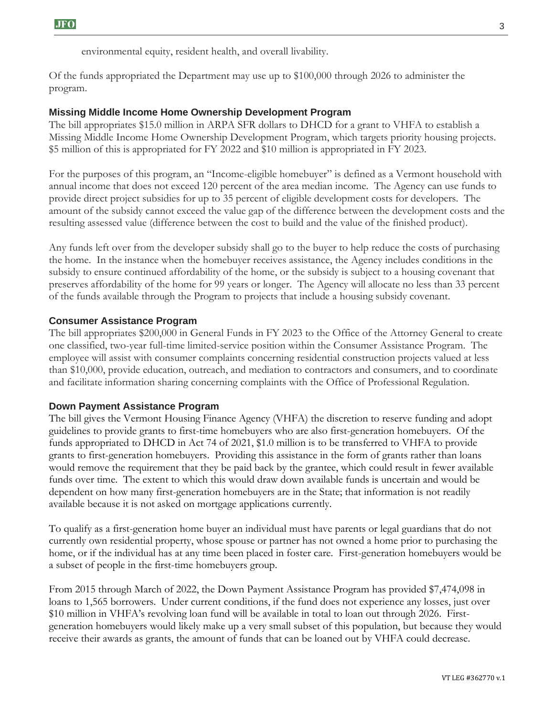environmental equity, resident health, and overall livability.

Of the funds appropriated the Department may use up to \$100,000 through 2026 to administer the program.

#### **Missing Middle Income Home Ownership Development Program**

The bill appropriates \$15.0 million in ARPA SFR dollars to DHCD for a grant to VHFA to establish a Missing Middle Income Home Ownership Development Program, which targets priority housing projects. \$5 million of this is appropriated for FY 2022 and \$10 million is appropriated in FY 2023.

For the purposes of this program, an "Income-eligible homebuyer" is defined as a Vermont household with annual income that does not exceed 120 percent of the area median income. The Agency can use funds to provide direct project subsidies for up to 35 percent of eligible development costs for developers. The amount of the subsidy cannot exceed the value gap of the difference between the development costs and the resulting assessed value (difference between the cost to build and the value of the finished product).

Any funds left over from the developer subsidy shall go to the buyer to help reduce the costs of purchasing the home. In the instance when the homebuyer receives assistance, the Agency includes conditions in the subsidy to ensure continued affordability of the home, or the subsidy is subject to a housing covenant that preserves affordability of the home for 99 years or longer. The Agency will allocate no less than 33 percent of the funds available through the Program to projects that include a housing subsidy covenant.

#### **Consumer Assistance Program**

The bill appropriates \$200,000 in General Funds in FY 2023 to the Office of the Attorney General to create one classified, two-year full-time limited-service position within the Consumer Assistance Program. The employee will assist with consumer complaints concerning residential construction projects valued at less than \$10,000, provide education, outreach, and mediation to contractors and consumers, and to coordinate and facilitate information sharing concerning complaints with the Office of Professional Regulation.

#### **Down Payment Assistance Program**

The bill gives the Vermont Housing Finance Agency (VHFA) the discretion to reserve funding and adopt guidelines to provide grants to first-time homebuyers who are also first-generation homebuyers. Of the funds appropriated to DHCD in Act 74 of 2021, \$1.0 million is to be transferred to VHFA to provide grants to first-generation homebuyers. Providing this assistance in the form of grants rather than loans would remove the requirement that they be paid back by the grantee, which could result in fewer available funds over time. The extent to which this would draw down available funds is uncertain and would be dependent on how many first-generation homebuyers are in the State; that information is not readily available because it is not asked on mortgage applications currently.

To qualify as a first-generation home buyer an individual must have parents or legal guardians that do not currently own residential property, whose spouse or partner has not owned a home prior to purchasing the home, or if the individual has at any time been placed in foster care. First-generation homebuyers would be a subset of people in the first-time homebuyers group.

From 2015 through March of 2022, the Down Payment Assistance Program has provided \$7,474,098 in loans to 1,565 borrowers. Under current conditions, if the fund does not experience any losses, just over \$10 million in VHFA's revolving loan fund will be available in total to loan out through 2026. Firstgeneration homebuyers would likely make up a very small subset of this population, but because they would receive their awards as grants, the amount of funds that can be loaned out by VHFA could decrease.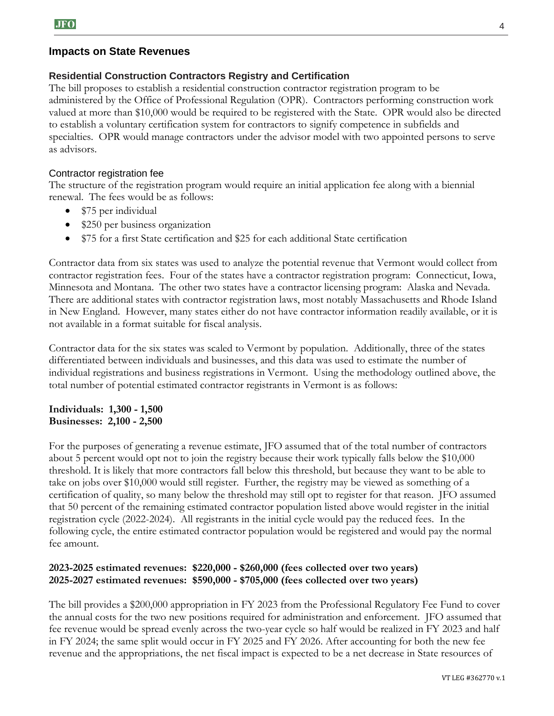#### **Impacts on State Revenues**

#### **Residential Construction Contractors Registry and Certification**

The bill proposes to establish a residential construction contractor registration program to be administered by the Office of Professional Regulation (OPR). Contractors performing construction work valued at more than \$10,000 would be required to be registered with the State. OPR would also be directed to establish a voluntary certification system for contractors to signify competence in subfields and specialties. OPR would manage contractors under the advisor model with two appointed persons to serve as advisors.

#### Contractor registration fee

The structure of the registration program would require an initial application fee along with a biennial renewal. The fees would be as follows:

- \$75 per individual
- \$250 per business organization
- \$75 for a first State certification and \$25 for each additional State certification

Contractor data from six states was used to analyze the potential revenue that Vermont would collect from contractor registration fees. Four of the states have a contractor registration program: Connecticut, Iowa, Minnesota and Montana. The other two states have a contractor licensing program: Alaska and Nevada. There are additional states with contractor registration laws, most notably Massachusetts and Rhode Island in New England. However, many states either do not have contractor information readily available, or it is not available in a format suitable for fiscal analysis.

Contractor data for the six states was scaled to Vermont by population. Additionally, three of the states differentiated between individuals and businesses, and this data was used to estimate the number of individual registrations and business registrations in Vermont. Using the methodology outlined above, the total number of potential estimated contractor registrants in Vermont is as follows:

#### **Individuals: 1,300 - 1,500 Businesses: 2,100 - 2,500**

For the purposes of generating a revenue estimate, JFO assumed that of the total number of contractors about 5 percent would opt not to join the registry because their work typically falls below the \$10,000 threshold. It is likely that more contractors fall below this threshold, but because they want to be able to take on jobs over \$10,000 would still register. Further, the registry may be viewed as something of a certification of quality, so many below the threshold may still opt to register for that reason. JFO assumed that 50 percent of the remaining estimated contractor population listed above would register in the initial registration cycle (2022-2024). All registrants in the initial cycle would pay the reduced fees. In the following cycle, the entire estimated contractor population would be registered and would pay the normal fee amount.

#### **2023-2025 estimated revenues: \$220,000 - \$260,000 (fees collected over two years) 2025-2027 estimated revenues: \$590,000 - \$705,000 (fees collected over two years)**

The bill provides a \$200,000 appropriation in FY 2023 from the Professional Regulatory Fee Fund to cover the annual costs for the two new positions required for administration and enforcement. JFO assumed that fee revenue would be spread evenly across the two-year cycle so half would be realized in FY 2023 and half in FY 2024; the same split would occur in FY 2025 and FY 2026. After accounting for both the new fee revenue and the appropriations, the net fiscal impact is expected to be a net decrease in State resources of